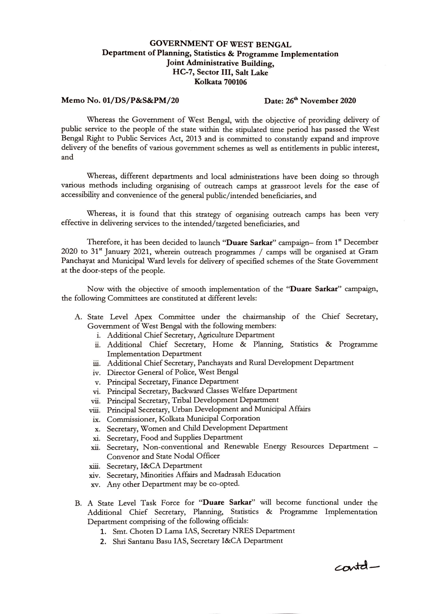## **GOVERNMENT OF WEST BENGAL Department of Planning, Statistics & Programme Implementation Joint Administrative Building, HC-7, Sector III, Salt Lake Kolkata 700106**

## **Memo No. 01/DS/P&S&PM/20 Date: 26th November 2020**

Whereas the Government of West Bengal, with the objective of providing delivery of public service to the people of the state within the stipulated time period has passed the West Bengal Right to Public Services Act, 2013 and is committed to constantly expand and improve delivery of the benefits of various government schemes as well as entitlements in public interest, and

Whereas, different departments and local administrations have been doing so through various methods including organising of outreach camps at grassroot levels for the ease of accessibility and convenience of the general public/intended beneficiaries, and

Whereas, it is found that this strategy of organising outreach camps has been very effective in delivering services to the intended/targeted beneficiaries, and

Therefore, it has been decided to launch **"Duare Sarkar"** campaign- from 1" December  $2020$  to  $31<sup>st</sup>$  January 2021, wherein outreach programmes / camps will be organised at Gram Panchayat and Municipal Ward levels for delivery of specified schemes of the State Government at the door-steps of the people.

Now with the objective of smooth implementation of the **"Duare Sarkar"** campaign, the following Committees are constituted at different levels:

- A. State Level Apex Committee under the chairmanship of the Chief Secretary, Government of West Bengal with the following members:
	- i. Additional Chief Secretary, Agriculture Department
	- ii. Additional Chief Secretary, Home & Planning, Statistics & Programme Implementation Department
	- iii. Additional Chief Secretary, Panchayats and Rural Development Department
	- iv. Director General of Police, West Bengal
	- v. Principal Secretary, Finance Department
	- vi. Principal Secretary, Backward Classes Welfare Department
	- vii. Principal Secretary, Tribal Development Department
	- viii. Principal Secretary, Urban Development and Municipal Affairs
	- ix. Commissioner, Kolkata Municipal Corporation
	- x. Secretary, Women and Child Development Department
	- x1. Secretary, Food and Supplies Department
	- xii. Secretary, Non-conventional and Renewable Energy Resources Department -Convenor and State Nodal Officer
	- xiii. Secretary, I&CA Department
	- xiv. Secretary, Minorities Affairs and Madrasah Education
	- xv. Any other Department may be co-opted.
- B. A State Level Task Force for **"Duare Sarkar"** will become functional under the Additional Chief Secretary, Planning, Statistics & Programme Implementation Department comprising of the following officials:
	- **1.** Smt. Choten D Lama !AS, Secretary NRES Department
	- 2. Shri Santanu Basu !AS, Secretary !&CA Department

 $c$ ontd-